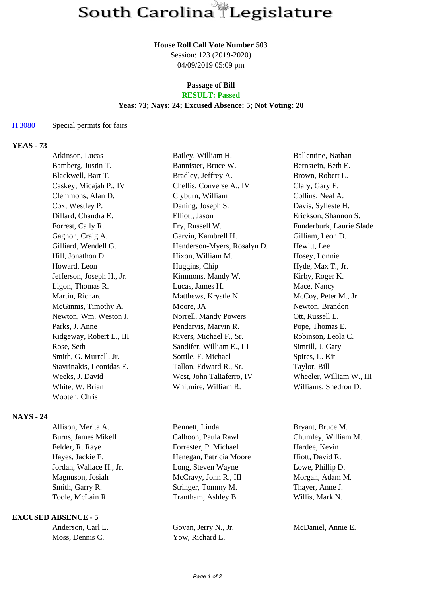#### **House Roll Call Vote Number 503**

Session: 123 (2019-2020) 04/09/2019 05:09 pm

# **Passage of Bill**

# **RESULT: Passed**

### **Yeas: 73; Nays: 24; Excused Absence: 5; Not Voting: 20**

#### H 3080 Special permits for fairs

# **YEAS - 73**

| Atkinson, Lucas           | Bailey, William H.          | Ballentine, Nathan       |
|---------------------------|-----------------------------|--------------------------|
| Bamberg, Justin T.        | Bannister, Bruce W.         | Bernstein, Beth E.       |
| Blackwell, Bart T.        | Bradley, Jeffrey A.         | Brown, Robert L.         |
| Caskey, Micajah P., IV    | Chellis, Converse A., IV    | Clary, Gary E.           |
| Clemmons, Alan D.         | Clyburn, William            | Collins, Neal A.         |
| Cox, Westley P.           | Daning, Joseph S.           | Davis, Sylleste H.       |
| Dillard, Chandra E.       | Elliott, Jason              | Erickson, Shannon S.     |
| Forrest, Cally R.         | Fry, Russell W.             | Funderburk, Laurie Slade |
| Gagnon, Craig A.          | Garvin, Kambrell H.         | Gilliam, Leon D.         |
| Gilliard, Wendell G.      | Henderson-Myers, Rosalyn D. | Hewitt, Lee              |
| Hill, Jonathon D.         | Hixon, William M.           | Hosey, Lonnie            |
| Howard, Leon              | Huggins, Chip               | Hyde, Max T., Jr.        |
| Jefferson, Joseph H., Jr. | Kimmons, Mandy W.           | Kirby, Roger K.          |
| Ligon, Thomas R.          | Lucas, James H.             | Mace, Nancy              |
| Martin, Richard           | Matthews, Krystle N.        | McCoy, Peter M., Jr.     |
| McGinnis, Timothy A.      | Moore, JA                   | Newton, Brandon          |
| Newton, Wm. Weston J.     | Norrell, Mandy Powers       | Ott, Russell L.          |
| Parks, J. Anne            | Pendarvis, Marvin R.        | Pope, Thomas E.          |
| Ridgeway, Robert L., III  | Rivers, Michael F., Sr.     | Robinson, Leola C.       |
| Rose, Seth                | Sandifer, William E., III   | Simrill, J. Gary         |
| Smith, G. Murrell, Jr.    | Sottile, F. Michael         | Spires, L. Kit           |
| Stavrinakis, Leonidas E.  | Tallon, Edward R., Sr.      | Taylor, Bill             |
| Weeks, J. David           | West, John Taliaferro, IV   | Wheeler, William W., III |
| White, W. Brian           | Whitmire, William R.        | Williams, Shedron D.     |
| Wooten, Chris             |                             |                          |

## **NAYS - 24**

| Allison, Merita A.      | Bennett, Linda          | Bryant, Bruce M.    |
|-------------------------|-------------------------|---------------------|
| Burns, James Mikell     | Calhoon, Paula Rawl     | Chumley, William M. |
| Felder, R. Raye         | Forrester, P. Michael   | Hardee, Kevin       |
| Hayes, Jackie E.        | Henegan, Patricia Moore | Hiott, David R.     |
| Jordan, Wallace H., Jr. | Long, Steven Wayne      | Lowe, Phillip D.    |
| Magnuson, Josiah        | McCravy, John R., III   | Morgan, Adam M.     |
| Smith, Garry R.         | Stringer, Tommy M.      | Thayer, Anne J.     |
| Toole, McLain R.        | Trantham, Ashley B.     | Willis, Mark N.     |
|                         |                         |                     |

#### **EXCUSED ABSENCE - 5**

| Anderson, Carl L. |
|-------------------|
| Moss, Dennis C.   |

Yow, Richard L.

Govan, Jerry N., Jr. McDaniel, Annie E.